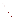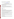# **Consumer Factsheet on: ETHYLBENZENE**

## [List of Contaminants](http://www.epa.gov/safewater/hfacts.html)

 As part of the Drinking Water and Health pages, this fact sheet is part of a larger publication: **National Primary Drinking Water Regulations** 

 States Environmental Protection Agency (EPA). This is a factsheet about a chemical that may be found in some public or private drinking water supplies. It may cause health problems if found in amounts greater than the health standard set by the United

## **What is Ethylbenzene and how is it used?**

 percent - of ethylbenzene is to make styrene, another organic liquid used as a building block for many plastics. It is also used as a solvent for coatings, and in making rubber and plastic wrap. Ethylbenzene is a colorless organic liquid with a sweet, gasoline-like odor. The greatest use - over 99

 The list of trade names given below may help you find out whether you are using this chemical at home or work.

## **Trade Names and Synonyms:**

**Ethylbenzol** Phenylethane

## **Why is Ethylbenzene being Regulated?**

 based solely on possible health risks and exposure, are called Maximum Contaminant Level Goals. In 1974, Congress passed the Safe Drinking Water Act. This law requires EPA to determine safe levels of chemicals in drinking water which do or may cause health problems. These non-enforceable levels,

The MCLG for ethylbenzene has been set at 0.7 parts per million (ppm) because EPA believes this level of protection would not cause any of the potential health problems described below.

 Based on this MCLG, EPA has set an enforceable standard called a Maximum Contaminant Level (MCL). MCLs are set as close to the MCLGs as possible, considering the ability of public water systems to detect and remove contaminants using suitable treatment technologies.

 should it occur in drinking water. The MCL has also been set at 0.7 ppm because EPA believes, given present technology and resources, this is the lowest level to which water systems can reasonably be required to remove this contaminant

These drinking water standards and the regulations for ensuring these standards are met, are called National Primary Drinking Water Regulations. All public water supplies must abide by these regulations.

## **What are the Health Effects?**

 and mild eye and respiratory irritation. Short-term: EPA has found ethylbenzene to potentially cause the following health effects when people are exposed to it at levels above the MCL for relatively short periods of time: drowsiness, fatigue, headache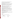levels above the MCL: damage to the liver, kidneys, central nervous system and eyes. Long-term: Ethylbenzene has the potential to cause the following effects from a lifetime exposure at

#### **How much Ethylbenzene is produced and released to the environment?**

 from its production and industrial use. Production of ethylbenzene has increased: from 6.9 billion lbs. in 1982 to 11.8 billion lbs in 1993. It is released to the air primarily from its use in gasoline. More localized may be due to waste water and spills

From 1987 to 1993, according to EPA's Toxic Chemical Release Inventory, ethylbenzene releases to water and land totalled over 761,000 lbs. These releases were primarily from petroleum refining industries. The largest releases occurred in Texas. The largest direct releases to water occurred in Virginia.

#### **What happens to Ethylbenzene when it is released to the environment?**

 Ethylbenzene will evaporate rapidly from water, and will be degraded by microbes. It binds only moderately to aquatic sediment and to soils. Thus, it may leach to ground water if released to land. Ethylbenzene has little potential for accumulating in aquatic life.

#### **How will Ethylbenzene be Detected in and Removed from My Drinking Water?**

 ethylbenzene is present above 0.5 ppb. If it is present above this level, the system must continue to monitor this contaminant. The regulation for ethylbenzene became effective in 1992. Between 1993 and 1995, EPA required your water supplier to collect water samples every 3 months for one year and analyze them to find out if

 reduce the amount of ethylbenzene so that it is consistently below that level. The following treatment combination with Packed Tower Aeration. If contaminant levels are found to be consistently above the MCL, your water supplier must take steps to methods have been approved by EPA for removing ethylbenzene: Granular activated charcoal in

#### **How will I know if Ethylbenzene is in my drinking water?**

 If the levels of ethylbenzene exceed the MCL, 0.7 ppm, the system must notify the public via newspapers, be required to prevent serious risks to public health. radio, TV and other means. Additional actions, such as providing alternative drinking water supplies, may

#### **Drinking Water Standards:**

Mclg: 0.7 ppm

Mcl: 0.7 ppm

#### **Ethylbenzene Releases to Water and Land, 1987 to 1993 (in pounds):**

| <b>TOTALS (in pounds)</b> |        | Water<br>47,293 | Land<br>714,580 |
|---------------------------|--------|-----------------|-----------------|
| <b>Top Ten States</b>     |        |                 |                 |
| TX                        | 9.870  | 480,164         |                 |
| VI                        | 1,233  | 72.245          |                 |
| IL                        | 31     | 44,789          |                 |
| <b>PR</b>                 | 0      | 23.980          |                 |
| VA                        | 17.997 | 1.950           |                 |